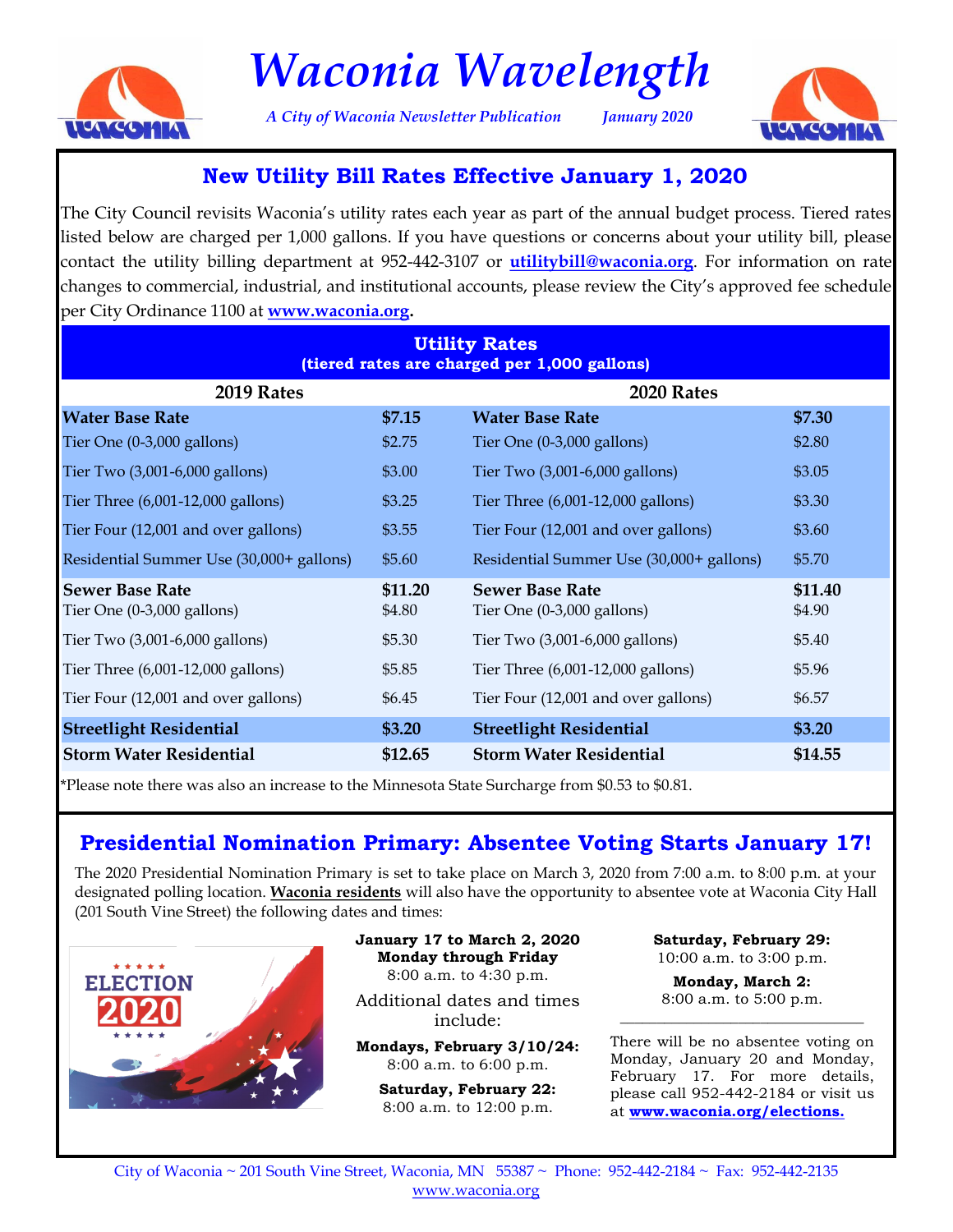

# *Waconia Wavelength*

*A City of Waconia Newsletter Publication January 2020*



## **New Utility Bill Rates Effective January 1, 2020**

The City Council revisits Waconia's utility rates each year as part of the annual budget process. Tiered rates listed below are charged per 1,000 gallons. If you have questions or concerns about your utility bill, please contact the utility billing department at 952-442-3107 or **utilitybill@waconia.org**. For information on rate changes to commercial, industrial, and institutional accounts, please review the City's approved fee schedule per City Ordinance 1100 at **[www.waconia.org.](http://waconia.org/221/Utility-Billing)**

| <b>Utility Rates</b><br>(tiered rates are charged per 1,000 gallons) |                   |                                                                |                   |
|----------------------------------------------------------------------|-------------------|----------------------------------------------------------------|-------------------|
| 2019 Rates                                                           |                   | 2020 Rates                                                     |                   |
| <b>Water Base Rate</b>                                               | \$7.15            | <b>Water Base Rate</b>                                         | \$7.30            |
| Tier One $(0-3,000 \text{ gallons})$                                 | \$2.75            | Tier One $(0-3,000 \text{ gallons})$                           | \$2.80            |
| Tier Two (3,001-6,000 gallons)                                       | \$3.00            | Tier Two (3,001-6,000 gallons)                                 | \$3.05            |
| Tier Three (6,001-12,000 gallons)                                    | \$3.25            | Tier Three (6,001-12,000 gallons)                              | \$3.30            |
| Tier Four (12,001 and over gallons)                                  | \$3.55            | Tier Four (12,001 and over gallons)                            | \$3.60            |
| Residential Summer Use (30,000+ gallons)                             | \$5.60            | Residential Summer Use (30,000+ gallons)                       | \$5.70            |
| <b>Sewer Base Rate</b><br>Tier One $(0-3,000 \text{ gallons})$       | \$11.20<br>\$4.80 | <b>Sewer Base Rate</b><br>Tier One $(0-3,000 \text{ gallons})$ | \$11.40<br>\$4.90 |
| Tier Two (3,001-6,000 gallons)                                       | \$5.30            | Tier Two $(3,001-6,000 \text{ gallons})$                       | \$5.40            |
| Tier Three (6,001-12,000 gallons)                                    | \$5.85            | Tier Three (6,001-12,000 gallons)                              | \$5.96            |
| Tier Four (12,001 and over gallons)                                  | \$6.45            | Tier Four (12,001 and over gallons)                            | \$6.57            |
| <b>Streetlight Residential</b>                                       | \$3.20            | <b>Streetlight Residential</b>                                 | \$3.20            |
| <b>Storm Water Residential</b>                                       | \$12.65           | <b>Storm Water Residential</b>                                 | \$14.55           |

\*Please note there was also an increase to the Minnesota State Surcharge from \$0.53 to \$0.81.

## **Presidential Nomination Primary: Absentee Voting Starts January 17!**

The 2020 Presidential Nomination Primary is set to take place on March 3, 2020 from 7:00 a.m. to 8:00 p.m. at your designated polling location. **Waconia residents** will also have the opportunity to absentee vote at Waconia City Hall (201 South Vine Street) the following dates and times:



**January 17 to March 2, 2020 Monday through Friday** 8:00 a.m. to 4:30 p.m.

Additional dates and times include:

**Mondays, February 3/10/24:**  8:00 a.m. to 6:00 p.m.

**Saturday, February 22:** 8:00 a.m. to 12:00 p.m.

**Saturday, February 29:** 10:00 a.m. to 3:00 p.m.

**Monday, March 2:** 8:00 a.m. to 5:00 p.m. \_\_\_\_\_\_\_\_\_\_\_\_\_\_\_\_\_\_\_\_\_\_\_\_\_\_\_\_\_\_\_\_\_

There will be no absentee voting on Monday, January 20 and Monday, February 17. For more details, please call 952-442-2184 or visit us at **[www.waconia.org/elections.](https://www.waconia.org/166/Elections-Voting)**